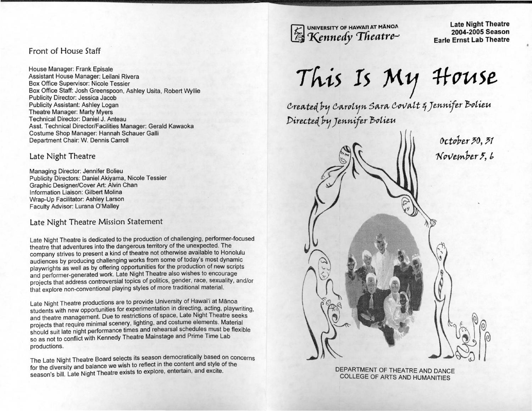### Front of House Staff

House Manager: Frank Episale Assistant House Manager: Leilani Rivera Box Office Supervisor: Nicole Tessier Box Office Staff: Josh Greenspoon, Ashley Usita, Robert Wyllie Publicity Director: Jessica Jacob Publicity Assistant: Ashley Logan Theatre Manager: Marty Myers Technical Director: Daniel J. Anteau Asst. Technical Director/Facilities Manager: Gerald Kawaoka Costume Shop Manager: Hannah Schauer Galli Department Chair: W. Dennis Carroll

Late Night Theatre

Managing Director: Jennifer Bolieu Publicity Directors: Daniel Akiyama, Nicole Tessier Graphic Designer/Cover Art: Alvin Chan Information Liaison: Gilbert Molina Wrap-Up Facilitator: Ashley Larson Faculty Advisor: Lurana O'Malley

## Late Night Theatre Mission Statement

Late Night Theatre is dedicated to the production of challenging, performer-focused theatre that adventures into the dangerous territory of the unexpected. The company strives to present a kind of theatre not otherwise available to Honolulu audiences by producing challenging works from some of today's most dynamic playwrights as well as by offering opportunities for the production of new scripts and performer-generated work. Late Night Theatre also wishes to encourage projects that address controversial topics of politics, gender, race, sexuality, and/or that explore non-conventional playing styles of more traditional material.

Late Night Theatre productions are to provide University of Hawai'i at Manoa students with new opportunities for experimentation in directing, acting, playwriting, and theatre management. Due to restrictions of space, Late Night Theatre seeks projects that require minimal scenery, lighting, and costume elements. Material should suit late night performance times and rehearsal schedules must be flexible so as not to conflict with Kennedy Theatre Mainstage and Prime Time Lab productions.

The Late Night Theatre Board selects its season democratically based on concerns for the diversity and balance we wish to reflect in the content and style of the season's bill. Late Night Theatre exists to explore, entertain, and excite.

UNIVERSITY OF HAWAI'I AT MÃNOA  $K$ ennedy Theatre-

Late Night Theatre 2004-2005 Season Earle Ernst Lab Theatre

*Th-is* !s M1J *#-cruse* 

 $c$ reated by  $c$ arolyn Sara  $c$ ovalt  $q$  Jennifer Bolieu *Pire.c.te.t{ P1f Jennifer l\$utieu* 

> 0ctober 30, 31 November 5, 6  $160$

> > DEPARTMENT OF THEATRE AND DANCE COLLEGE OF ARTS AND HUMANITIES